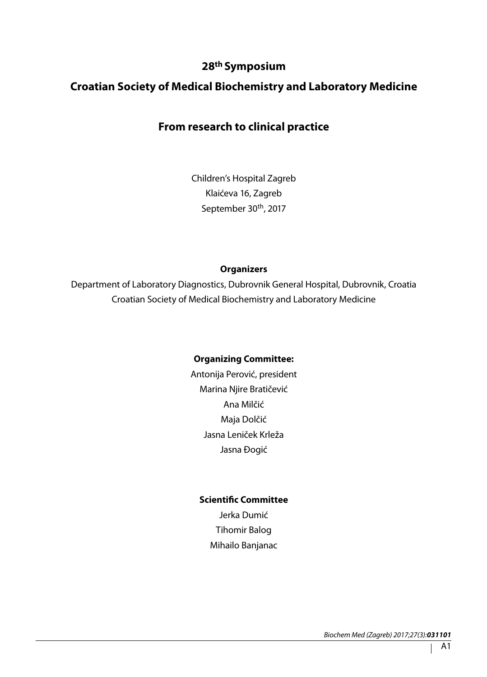## **28th Symposium**

## **Croatian Society of Medical Biochemistry and Laboratory Medicine**

## **From research to clinical practice**

Children's Hospital Zagreb Klaićeva 16, Zagreb September 30<sup>th</sup>, 2017

#### **Organizers**

Department of Laboratory Diagnostics, Dubrovnik General Hospital, Dubrovnik, Croatia Croatian Society of Medical Biochemistry and Laboratory Medicine

#### **Organizing Committee:**

Antonija Perović, president Marina Njire Bratičević Ana Milčić Maja Dolčić Jasna Leniček Krleža Jasna Đogić

#### **Scientific Committee**

Jerka Dumić Tihomir Balog Mihailo Banjanac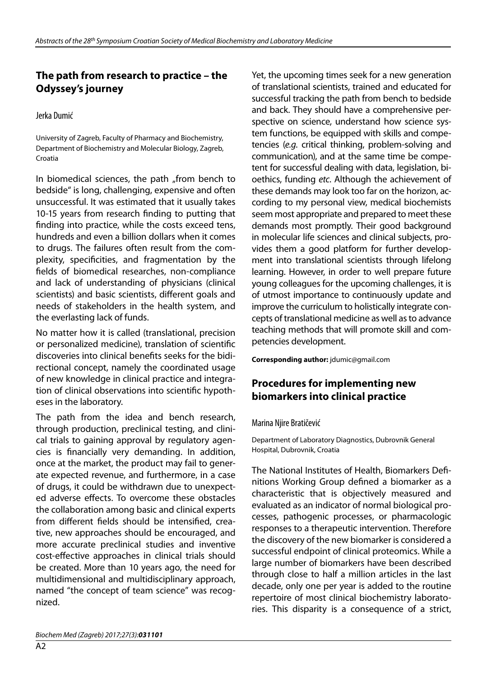# **The path from research to practice – the Odyssey's journey**

Jerka Dumić

University of Zagreb, Faculty of Pharmacy and Biochemistry, Department of Biochemistry and Molecular Biology, Zagreb, Croatia

In biomedical sciences, the path "from bench to bedside" is long, challenging, expensive and often unsuccessful. It was estimated that it usually takes 10-15 years from research finding to putting that finding into practice, while the costs exceed tens, hundreds and even a billion dollars when it comes to drugs. The failures often result from the complexity, specificities, and fragmentation by the fields of biomedical researches, non-compliance and lack of understanding of physicians (clinical scientists) and basic scientists, different goals and needs of stakeholders in the health system, and the everlasting lack of funds.

No matter how it is called (translational, precision or personalized medicine), translation of scientific discoveries into clinical benefits seeks for the bidirectional concept, namely the coordinated usage of new knowledge in clinical practice and integration of clinical observations into scientific hypotheses in the laboratory.

The path from the idea and bench research, through production, preclinical testing, and clinical trials to gaining approval by regulatory agencies is financially very demanding. In addition, once at the market, the product may fail to generate expected revenue, and furthermore, in a case of drugs, it could be withdrawn due to unexpected adverse effects. To overcome these obstacles the collaboration among basic and clinical experts from different fields should be intensified, creative, new approaches should be encouraged, and more accurate preclinical studies and inventive cost-effective approaches in clinical trials should be created. More than 10 years ago, the need for multidimensional and multidisciplinary approach, named "the concept of team science" was recognized.

Yet, the upcoming times seek for a new generation of translational scientists, trained and educated for successful tracking the path from bench to bedside and back. They should have a comprehensive perspective on science, understand how science system functions, be equipped with skills and competencies (*e.g.* critical thinking, problem-solving and communication), and at the same time be competent for successful dealing with data, legislation, bioethics, funding *etc*. Although the achievement of these demands may look too far on the horizon, according to my personal view, medical biochemists seem most appropriate and prepared to meet these demands most promptly. Their good background in molecular life sciences and clinical subjects, provides them a good platform for further development into translational scientists through lifelong learning. However, in order to well prepare future young colleagues for the upcoming challenges, it is of utmost importance to continuously update and improve the curriculum to holistically integrate concepts of translational medicine as well as to advance teaching methods that will promote skill and competencies development.

**Corresponding author:** jdumic@gmail.com

## **Procedures for implementing new biomarkers into clinical practice**

#### Marina Njire Bratičević

Department of Laboratory Diagnostics, Dubrovnik General Hospital, Dubrovnik, Croatia

The National Institutes of Health, Biomarkers Definitions Working Group defined a biomarker as a characteristic that is objectively measured and evaluated as an indicator of normal biological processes, pathogenic processes, or pharmacologic responses to a therapeutic intervention. Therefore the discovery of the new biomarker is considered a successful endpoint of clinical proteomics. While a large number of biomarkers have been described through close to half a million articles in the last decade, only one per year is added to the routine repertoire of most clinical biochemistry laboratories. This disparity is a consequence of a strict,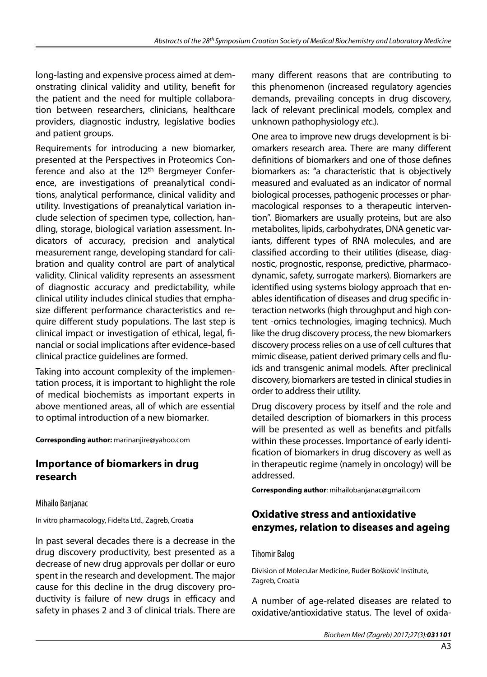long-lasting and expensive process aimed at demonstrating clinical validity and utility, benefit for the patient and the need for multiple collaboration between researchers, clinicians, healthcare providers, diagnostic industry, legislative bodies and patient groups.

Requirements for introducing a new biomarker, presented at the Perspectives in Proteomics Conference and also at the 12<sup>th</sup> Bergmeyer Conference, are investigations of preanalytical conditions, analytical performance, clinical validity and utility. Investigations of preanalytical variation include selection of specimen type, collection, handling, storage, biological variation assessment. Indicators of accuracy, precision and analytical measurement range, developing standard for calibration and quality control are part of analytical validity. Clinical validity represents an assessment of diagnostic accuracy and predictability, while clinical utility includes clinical studies that emphasize different performance characteristics and require different study populations. The last step is clinical impact or investigation of ethical, legal, financial or social implications after evidence-based clinical practice guidelines are formed.

Taking into account complexity of the implementation process, it is important to highlight the role of medical biochemists as important experts in above mentioned areas, all of which are essential to optimal introduction of a new biomarker.

#### **Corresponding author:** marinanjire@yahoo.com

#### **Importance of biomarkers in drug research**

Mihailo Banjanac

In vitro pharmacology, Fidelta Ltd., Zagreb, Croatia

In past several decades there is a decrease in the drug discovery productivity, best presented as a decrease of new drug approvals per dollar or euro spent in the research and development. The major cause for this decline in the drug discovery productivity is failure of new drugs in efficacy and safety in phases 2 and 3 of clinical trials. There are

many different reasons that are contributing to this phenomenon (increased regulatory agencies demands, prevailing concepts in drug discovery, lack of relevant preclinical models, complex and unknown pathophysiology *etc.*).

One area to improve new drugs development is biomarkers research area. There are many different definitions of biomarkers and one of those defines biomarkers as: "a characteristic that is objectively measured and evaluated as an indicator of normal biological processes, pathogenic processes or pharmacological responses to a therapeutic intervention". Biomarkers are usually proteins, but are also metabolites, lipids, carbohydrates, DNA genetic variants, different types of RNA molecules, and are classified according to their utilities (disease, diagnostic, prognostic, response, predictive, pharmacodynamic, safety, surrogate markers). Biomarkers are identified using systems biology approach that enables identification of diseases and drug specific interaction networks (high throughput and high content -omics technologies, imaging technics). Much like the drug discovery process, the new biomarkers discovery process relies on a use of cell cultures that mimic disease, patient derived primary cells and fluids and transgenic animal models. After preclinical discovery, biomarkers are tested in clinical studies in order to address their utility.

Drug discovery process by itself and the role and detailed description of biomarkers in this process will be presented as well as benefits and pitfalls within these processes. Importance of early identification of biomarkers in drug discovery as well as in therapeutic regime (namely in oncology) will be addressed.

**Corresponding author**: mihailobanjanac@gmail.com

## **Oxidative stress and antioxidative enzymes, relation to diseases and ageing**

#### Tihomir Balog

Division of Molecular Medicine, Ruđer Bošković Institute, Zagreb, Croatia

A number of age-related diseases are related to oxidative/antioxidative status. The level of oxida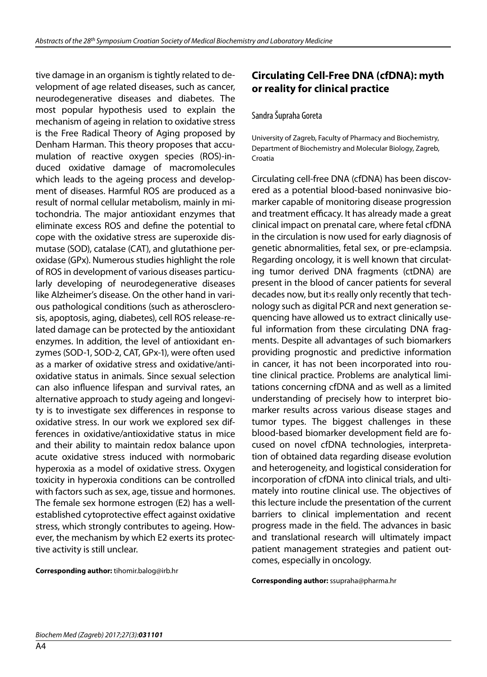tive damage in an organism is tightly related to development of age related diseases, such as cancer, neurodegenerative diseases and diabetes. The most popular hypothesis used to explain the mechanism of ageing in relation to oxidative stress is the Free Radical Theory of Aging proposed by Denham Harman. This theory proposes that accumulation of reactive oxygen species (ROS)-induced oxidative damage of macromolecules which leads to the ageing process and development of diseases. Harmful ROS are produced as a result of normal cellular metabolism, mainly in mitochondria. The major antioxidant enzymes that eliminate excess ROS and define the potential to cope with the oxidative stress are superoxide dismutase (SOD), catalase (CAT), and glutathione peroxidase (GPx). Numerous studies highlight the role of ROS in development of various diseases particularly developing of neurodegenerative diseases like Alzheimer's disease. On the other hand in various pathological conditions (such as atherosclerosis, apoptosis, aging, diabetes), cell ROS release-related damage can be protected by the antioxidant enzymes. In addition, the level of antioxidant enzymes (SOD-1, SOD-2, CAT, GPx-1), were often used as a marker of oxidative stress and oxidative/antioxidative status in animals. Since sexual selection can also influence lifespan and survival rates, an alternative approach to study ageing and longevity is to investigate sex differences in response to oxidative stress. In our work we explored sex differences in oxidative/antioxidative status in mice and their ability to maintain redox balance upon acute oxidative stress induced with normobaric hyperoxia as a model of oxidative stress. Oxygen toxicity in hyperoxia conditions can be controlled with factors such as sex, age, tissue and hormones. The female sex hormone estrogen (E2) has a wellestablished cytoprotective effect against oxidative stress, which strongly contributes to ageing. However, the mechanism by which E2 exerts its protective activity is still unclear.

**Corresponding author:** tihomir.balog@irb.hr

## **Circulating Cell-Free DNA (cfDNA): myth or reality for clinical practice**

#### Sandra Šupraha Goreta

University of Zagreb, Faculty of Pharmacy and Biochemistry, Department of Biochemistry and Molecular Biology, Zagreb, Croatia

Circulating cell-free DNA (cfDNA) has been discovered as a potential blood-based noninvasive biomarker capable of monitoring disease progression and treatment efficacy. It has already made a great clinical impact on prenatal care, where fetal cfDNA in the circulation is now used for early diagnosis of genetic abnormalities, fetal sex, or pre-eclampsia. Regarding oncology, it is well known that circulating tumor derived DNA fragments (ctDNA) are present in the blood of cancer patients for several decades now, but it›s really only recently that technology such as digital PCR and next generation sequencing have allowed us to extract clinically useful information from these circulating DNA fragments. Despite all advantages of such biomarkers providing prognostic and predictive information in cancer, it has not been incorporated into routine clinical practice. Problems are analytical limitations concerning cfDNA and as well as a limited understanding of precisely how to interpret biomarker results across various disease stages and tumor types. The biggest challenges in these blood-based biomarker development field are focused on novel cfDNA technologies, interpretation of obtained data regarding disease evolution and heterogeneity, and logistical consideration for incorporation of cfDNA into clinical trials, and ultimately into routine clinical use. The objectives of this lecture include the presentation of the current barriers to clinical implementation and recent progress made in the field. The advances in basic and translational research will ultimately impact patient management strategies and patient outcomes, especially in oncology.

#### **Corresponding author:** ssupraha@pharma.hr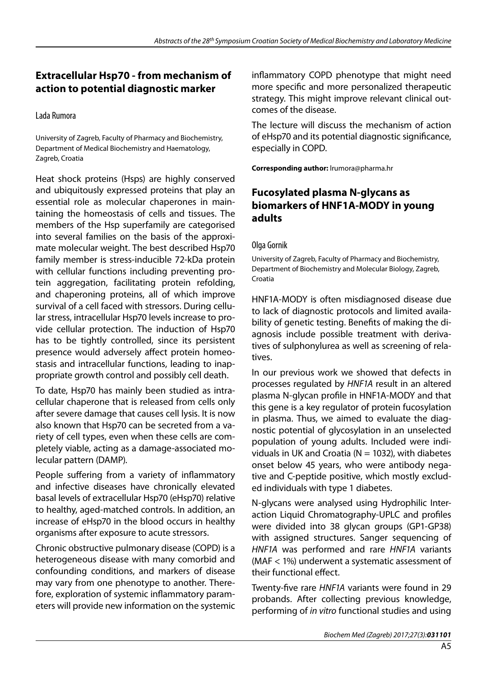# **Extracellular Hsp70 - from mechanism of action to potential diagnostic marker**

#### Lada Rumora

University of Zagreb, Faculty of Pharmacy and Biochemistry, Department of Medical Biochemistry and Haematology, Zagreb, Croatia

Heat shock proteins (Hsps) are highly conserved and ubiquitously expressed proteins that play an essential role as molecular chaperones in maintaining the homeostasis of cells and tissues. The members of the Hsp superfamily are categorised into several families on the basis of the approximate molecular weight. The best described Hsp70 family member is stress-inducible 72-kDa protein with cellular functions including preventing protein aggregation, facilitating protein refolding, and chaperoning proteins, all of which improve survival of a cell faced with stressors. During cellular stress, intracellular Hsp70 levels increase to provide cellular protection. The induction of Hsp70 has to be tightly controlled, since its persistent presence would adversely affect protein homeostasis and intracellular functions, leading to inappropriate growth control and possibly cell death.

To date, Hsp70 has mainly been studied as intracellular chaperone that is released from cells only after severe damage that causes cell lysis. It is now also known that Hsp70 can be secreted from a variety of cell types, even when these cells are completely viable, acting as a damage-associated molecular pattern (DAMP).

People suffering from a variety of inflammatory and infective diseases have chronically elevated basal levels of extracellular Hsp70 (eHsp70) relative to healthy, aged-matched controls. In addition, an increase of eHsp70 in the blood occurs in healthy organisms after exposure to acute stressors.

Chronic obstructive pulmonary disease (COPD) is a heterogeneous disease with many comorbid and confounding conditions, and markers of disease may vary from one phenotype to another. Therefore, exploration of systemic inflammatory parameters will provide new information on the systemic inflammatory COPD phenotype that might need more specific and more personalized therapeutic strategy. This might improve relevant clinical outcomes of the disease.

The lecture will discuss the mechanism of action of eHsp70 and its potential diagnostic significance, especially in COPD.

**Corresponding author:** lrumora@pharma.hr

## **Fucosylated plasma N-glycans as biomarkers of HNF1A-MODY in young adults**

#### Olga Gornik

University of Zagreb, Faculty of Pharmacy and Biochemistry, Department of Biochemistry and Molecular Biology, Zagreb, Croatia

HNF1A-MODY is often misdiagnosed disease due to lack of diagnostic protocols and limited availability of genetic testing. Benefits of making the diagnosis include possible treatment with derivatives of sulphonylurea as well as screening of relatives.

In our previous work we showed that defects in processes regulated by *HNF1A* result in an altered plasma N-glycan profile in HNF1A-MODY and that this gene is a key regulator of protein fucosylation in plasma. Thus, we aimed to evaluate the diagnostic potential of glycosylation in an unselected population of young adults. Included were individuals in UK and Croatia ( $N = 1032$ ), with diabetes onset below 45 years, who were antibody negative and C-peptide positive, which mostly excluded individuals with type 1 diabetes.

N-glycans were analysed using Hydrophilic Interaction Liquid Chromatography-UPLC and profiles were divided into 38 glycan groups (GP1-GP38) with assigned structures. Sanger sequencing of *HNF1A* was performed and rare *HNF1A* variants (MAF < 1%) underwent a systematic assessment of their functional effect.

Twenty-five rare *HNF1A* variants were found in 29 probands. After collecting previous knowledge, performing of *in vitro* functional studies and using